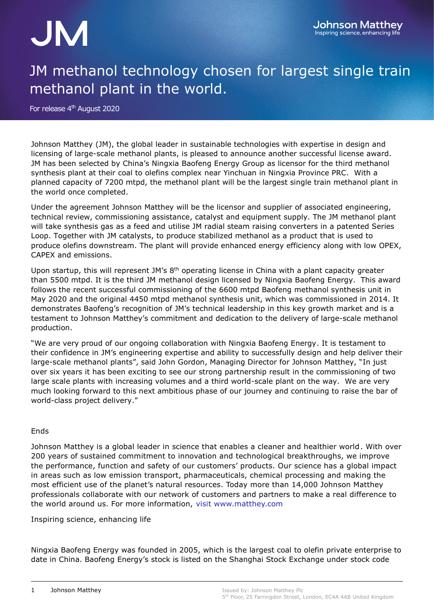## JM

## JM methanol technology chosen for largest single train methanol plant in the world.

For release 4<sup>th</sup> August 2020

Johnson Matthey (JM), the global leader in sustainable technologies with expertise in design and licensing of large-scale methanol plants, is pleased to announce another successful license award. JM has been selected by China's Ningxia Baofeng Energy Group as licensor for the third methanol synthesis plant at their coal to olefins complex near Yinchuan in Ningxia Province PRC. With a planned capacity of 7200 mtpd, the methanol plant will be the largest single train methanol plant in the world once completed.

Under the agreement Johnson Matthey will be the licensor and supplier of associated engineering, technical review, commissioning assistance, catalyst and equipment supply. The JM methanol plant will take synthesis gas as a feed and utilise JM radial steam raising converters in a patented Series Loop. Together with JM catalysts, to produce stabilized methanol as a product that is used to produce olefins downstream. The plant will provide enhanced energy efficiency along with low OPEX, CAPEX and emissions.

Upon startup, this will represent JM's 8<sup>th</sup> operating license in China with a plant capacity greater than 5500 mtpd. It is the third JM methanol design licensed by Ningxia Baofeng Energy. This award follows the recent successful commissioning of the 6600 mtpd Baofeng methanol synthesis unit in May 2020 and the original 4450 mtpd methanol synthesis unit, which was commissioned in 2014. It demonstrates Baofeng's recognition of JM's technical leadership in this key growth market and is a testament to Johnson Matthey's commitment and dedication to the delivery of large-scale methanol production.

"We are very proud of our ongoing collaboration with Ningxia Baofeng Energy. It is testament to their confidence in JM's engineering expertise and ability to successfully design and help deliver their large-scale methanol plants", said John Gordon, Managing Director for Johnson Matthey, "In just over six years it has been exciting to see our strong partnership result in the commissioning of two large scale plants with increasing volumes and a third world-scale plant on the way. We are very much looking forward to this next ambitious phase of our journey and continuing to raise the bar of world-class project delivery."

## Ends

Johnson Matthey is a global leader in science that enables a cleaner and healthier world. With over 200 years of sustained commitment to innovation and technological breakthroughs, we improve the performance, function and safety of our customers' products. Our science has a global impact in areas such as low emission transport, pharmaceuticals, chemical processing and making the most efficient use of the planet's natural resources. Today more than 14,000 Johnson Matthey professionals collaborate with our network of customers and partners to make a real difference to the world around us. For more information, visit [www.matthey.com](http://www.matthey.com/)

Inspiring science, enhancing life

Ningxia Baofeng Energy was founded in 2005, which is the largest coal to olefin private enterprise to date in China. Baofeng Energy's stock is listed on the Shanghai Stock Exchange under stock code